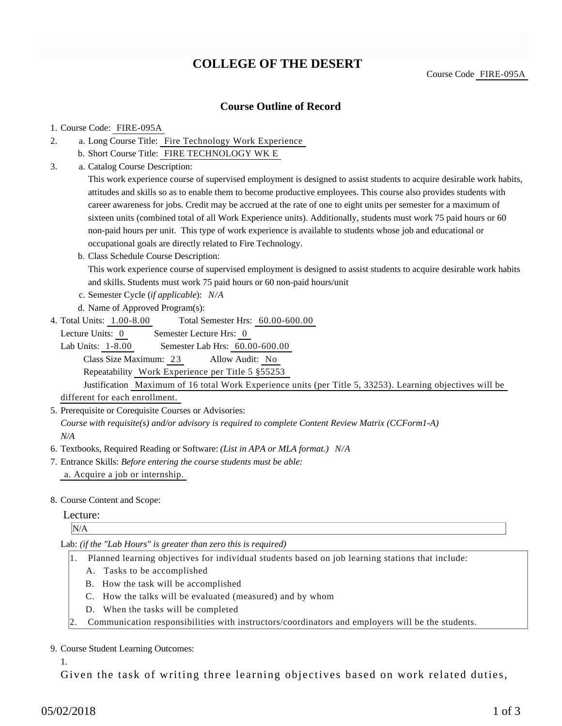# **COLLEGE OF THE DESERT**

Course Code FIRE-095A

### **Course Outline of Record**

#### 1. Course Code: FIRE-095A

- a. Long Course Title: Fire Technology Work Experience 2.
	- b. Short Course Title: FIRE TECHNOLOGY WK E
- Catalog Course Description: a. 3.

This work experience course of supervised employment is designed to assist students to acquire desirable work habits, attitudes and skills so as to enable them to become productive employees. This course also provides students with career awareness for jobs. Credit may be accrued at the rate of one to eight units per semester for a maximum of sixteen units (combined total of all Work Experience units). Additionally, students must work 75 paid hours or 60 non-paid hours per unit. This type of work experience is available to students whose job and educational or occupational goals are directly related to Fire Technology.

b. Class Schedule Course Description:

This work experience course of supervised employment is designed to assist students to acquire desirable work habits and skills. Students must work 75 paid hours or 60 non-paid hours/unit

- c. Semester Cycle (*if applicable*): *N/A*
- d. Name of Approved Program(s):
- Total Semester Hrs:  $60.00-600.00$ 4. Total Units: 1.00-8.00

Lecture Units: 0 Semester Lecture Hrs: 0

Lab Units: 1-8.00 Semester Lab Hrs: 60.00-600.00 Class Size Maximum: 23 Allow Audit: No Repeatability Work Experience per Title 5 §55253

Justification Maximum of 16 total Work Experience units (per Title 5, 33253). Learning objectives will be different for each enrollment.

5. Prerequisite or Corequisite Courses or Advisories:

*Course with requisite(s) and/or advisory is required to complete Content Review Matrix (CCForm1-A) N/A*

- 6. Textbooks, Required Reading or Software: *(List in APA or MLA format.) N/A*
- Entrance Skills: *Before entering the course students must be able:* 7. a. Acquire a job or internship.
- 8. Course Content and Scope:

#### Lecture:

N/A

Lab: *(if the "Lab Hours" is greater than zero this is required)*

- 1. Planned learning objectives for individual students based on job learning stations that include:
	- A. Tasks to be accomplished
	- B. How the task will be accomplished
	- C. How the talks will be evaluated (measured) and by whom
	- D. When the tasks will be completed
- 2. Communication responsibilities with instructors/coordinators and employers will be the students.

#### 9. Course Student Learning Outcomes:

1.

Given the task of writing three learning objectives based on work related duties,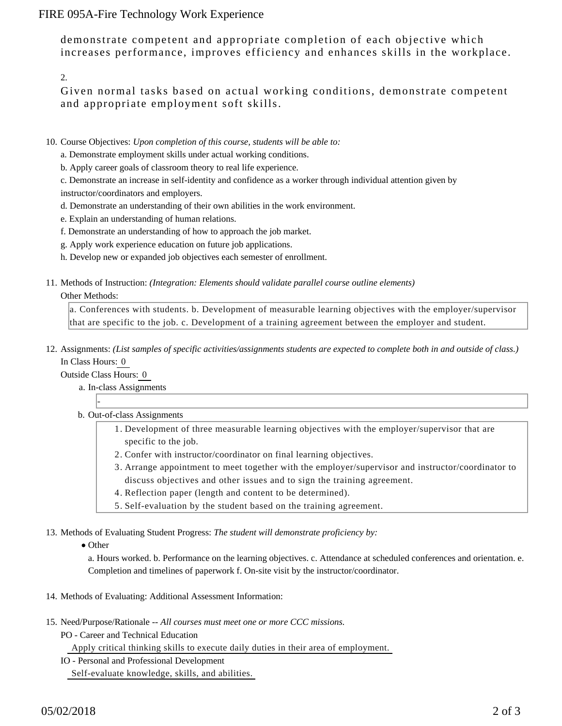## FIRE 095A-Fire Technology Work Experience

demonstrate competent and appropriate completion of each objective which increases performance, improves efficiency and enhances skills in the workplace.

2.

Given normal tasks based on actual working conditions, demonstrate competent and appropriate employment soft skills.

- 10. Course Objectives: Upon completion of this course, students will be able to:
	- a. Demonstrate employment skills under actual working conditions.
	- b. Apply career goals of classroom theory to real life experience.

c. Demonstrate an increase in self-identity and confidence as a worker through individual attention given by instructor/coordinators and employers.

- d. Demonstrate an understanding of their own abilities in the work environment.
- e. Explain an understanding of human relations.
- f. Demonstrate an understanding of how to approach the job market.
- g. Apply work experience education on future job applications.
- h. Develop new or expanded job objectives each semester of enrollment.
- 11. Methods of Instruction: *(Integration: Elements should validate parallel course outline elements)*

#### Other Methods:

a. Conferences with students. b. Development of measurable learning objectives with the employer/supervisor that are specific to the job. c. Development of a training agreement between the employer and student.

12. Assignments: (List samples of specific activities/assignments students are expected to complete both in and outside of class.) In Class Hours: 0

Outside Class Hours: 0

-

- a. In-class Assignments
- b. Out-of-class Assignments
	- 1. Development of three measurable learning objectives with the employer/supervisor that are specific to the job.
	- 2. Confer with instructor/coordinator on final learning objectives.
	- Arrange appointment to meet together with the employer/supervisor and instructor/coordinator to 3. discuss objectives and other issues and to sign the training agreement.
	- 4. Reflection paper (length and content to be determined).
	- 5. Self-evaluation by the student based on the training agreement.

13. Methods of Evaluating Student Progress: The student will demonstrate proficiency by:

• Other

a. Hours worked. b. Performance on the learning objectives. c. Attendance at scheduled conferences and orientation. e. Completion and timelines of paperwork f. On-site visit by the instructor/coordinator.

- 14. Methods of Evaluating: Additional Assessment Information:
- 15. Need/Purpose/Rationale -- All courses must meet one or more CCC missions.
	- PO Career and Technical Education

Apply critical thinking skills to execute daily duties in their area of employment.

IO - Personal and Professional Development

Self-evaluate knowledge, skills, and abilities.